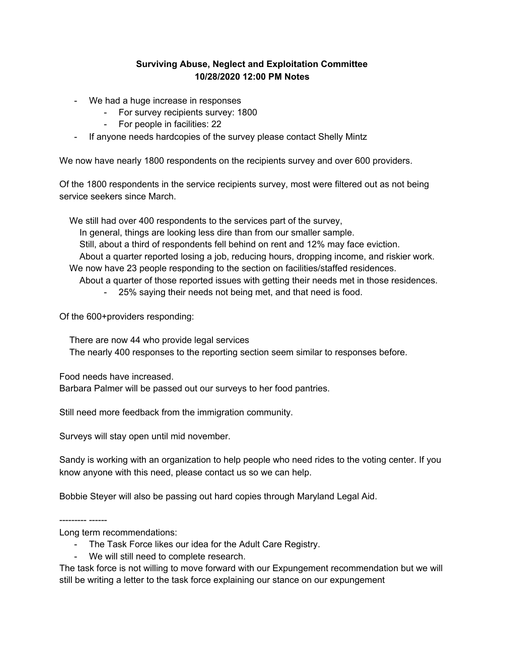## **Surviving Abuse, Neglect and Exploitation Committee 10/28/2020 12:00 PM Notes**

- We had a huge increase in responses
	- For survey recipients survey: 1800
	- For people in facilities: 22
- If anyone needs hardcopies of the survey please contact Shelly Mintz

We now have nearly 1800 respondents on the recipients survey and over 600 providers.

Of the 1800 respondents in the service recipients survey, most were filtered out as not being service seekers since March.

We still had over 400 respondents to the services part of the survey,

In general, things are looking less dire than from our smaller sample.

Still, about a third of respondents fell behind on rent and 12% may face eviction.

About a quarter reported losing a job, reducing hours, dropping income, and riskier work. We now have 23 people responding to the section on facilities/staffed residences.

About a quarter of those reported issues with getting their needs met in those residences.

- 25% saying their needs not being met, and that need is food.

Of the 600+providers responding:

There are now 44 who provide legal services The nearly 400 responses to the reporting section seem similar to responses before.

Food needs have increased. Barbara Palmer will be passed out our surveys to her food pantries.

Still need more feedback from the immigration community.

Surveys will stay open until mid november.

Sandy is working with an organization to help people who need rides to the voting center. If you know anyone with this need, please contact us so we can help.

Bobbie Steyer will also be passing out hard copies through Maryland Legal Aid.

--------- ------

Long term recommendations:

- The Task Force likes our idea for the Adult Care Registry.
- We will still need to complete research.

The task force is not willing to move forward with our Expungement recommendation but we will still be writing a letter to the task force explaining our stance on our expungement